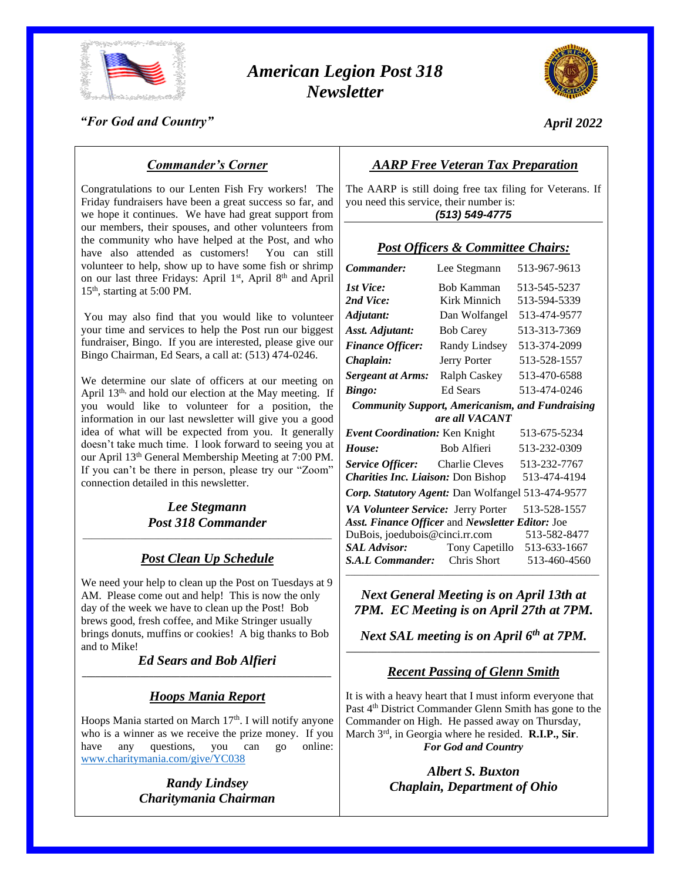

# *American Legion Post 318 Newsletter*



*April 2022*

### *"For God and Country"*

## *Commander's Corner*

Congratulations to our Lenten Fish Fry workers! The Friday fundraisers have been a great success so far, and we hope it continues. We have had great support from our members, their spouses, and other volunteers from the community who have helped at the Post, and who have also attended as customers! You can still volunteer to help, show up to have some fish or shrimp on our last three Fridays: April 1<sup>st</sup>, April 8<sup>th</sup> and April 15th, starting at 5:00 PM.

You may also find that you would like to volunteer your time and services to help the Post run our biggest fundraiser, Bingo. If you are interested, please give our Bingo Chairman, Ed Sears, a call at: (513) 474-0246.

We determine our slate of officers at our meeting on April 13<sup>th,</sup> and hold our election at the May meeting. If you would like to volunteer for a position, the information in our last newsletter will give you a good idea of what will be expected from you. It generally doesn't take much time. I look forward to seeing you at our April 13th General Membership Meeting at 7:00 PM. If you can't be there in person, please try our "Zoom" connection detailed in this newsletter.

#### *Lee Stegmann Post 318 Commander* \_\_\_\_\_\_\_\_\_\_\_\_\_\_\_\_\_\_\_\_\_\_\_\_\_\_\_\_\_\_\_\_\_\_\_\_\_\_\_\_\_\_\_\_\_\_\_\_\_\_\_\_\_\_\_\_

## *Post Clean Up Schedule*

We need your help to clean up the Post on Tuesdays at 9 AM. Please come out and help! This is now the only day of the week we have to clean up the Post! Bob brews good, fresh coffee, and Mike Stringer usually brings donuts, muffins or cookies! A big thanks to Bob and to Mike!

*Ed Sears and Bob Alfieri \_\_\_\_\_\_\_\_\_\_\_\_\_\_\_\_\_\_\_\_\_\_\_\_\_\_\_\_\_\_\_\_\_\_\_\_\_\_\_\_\_\_\_\_\_\_\_\_\_\_\_\_\_\_\_\_*

## *Hoops Mania Report*

Hoops Mania started on March 17<sup>th</sup>. I will notify anyone who is a winner as we receive the prize money. If you have any questions, you can go online: have any questions, you can go online: [www.charitymania.com/give/YC038](http://www.charitymania.com/give/YC038)

> *Randy Lindsey Charitymania Chairman*

## *AARP Free Veteran Tax Preparation*

The AARP is still doing free tax filing for Veterans. If you need this service, their number is: *(513) 549-4775*

| (15) 1 <del>5-5-4</del>                                |                           |              |  |
|--------------------------------------------------------|---------------------------|--------------|--|
| <b>Post Officers &amp; Committee Chairs:</b>           |                           |              |  |
| Commander:                                             | Lee Stegmann              | 513-967-9613 |  |
| <b>1st Vice:</b>                                       | Bob Kamman                | 513-545-5237 |  |
| 2nd Vice:                                              | Kirk Minnich              | 513-594-5339 |  |
| Adjutant:                                              | Dan Wolfangel             | 513-474-9577 |  |
| Asst. Adjutant:                                        | <b>Bob Carey</b>          | 513-313-7369 |  |
| <b>Finance Officer:</b>                                | Randy Lindsey             | 513-374-2099 |  |
| Chaplain:                                              | Jerry Porter              | 513-528-1557 |  |
| <b>Sergeant at Arms:</b>                               | Ralph Caskey 513-470-6588 |              |  |
| <b>Bingo:</b>                                          | <b>Ed Sears</b>           | 513-474-0246 |  |
| <b>Community Support, Americanism, and Fundraising</b> |                           |              |  |
| are all VACANT                                         |                           |              |  |
| Event Coordination: Ken Knight                         |                           | 513-675-5234 |  |
| House:                                                 | Bob Alfieri               | 513-232-0309 |  |
| Service Officer: Charlie Cleves 513-232-7767           |                           |              |  |
| <b>Charities Inc. Liaison: Don Bishop</b>              |                           | 513-474-4194 |  |
| Corp. Statutory Agent: Dan Wolfangel 513-474-9577      |                           |              |  |
| VA Volunteer Service: Jerry Porter                     |                           | 513-528-1557 |  |
| Asst. Finance Officer and Newsletter Editor: Joe       |                           |              |  |
| DuBois, joedubois@cinci.rr.com                         |                           | 513-582-8477 |  |

*S.A.L Commander:* Chris Short 513-460-4560 \_\_\_\_\_\_\_\_\_\_\_\_\_\_\_\_\_\_\_\_\_\_\_\_\_\_\_\_\_\_\_\_\_\_\_\_\_\_\_\_\_\_\_\_\_\_\_\_\_\_\_\_\_\_\_\_\_

*SAL Advisor:* Tony Capetillo 513-633-1667

*Next General Meeting is on April 13th at 7PM. EC Meeting is on April 27th at 7PM.*

*Next SAL meeting is on April 6th at 7PM. \_\_\_\_\_\_\_\_\_\_\_\_\_\_\_\_\_\_\_\_\_\_\_\_\_\_\_\_\_\_\_\_\_\_\_\_\_\_\_\_\_\_\_\_\_\_\_\_\_\_\_\_\_\_\_\_\_*

## *Recent Passing of Glenn Smith*

It is with a heavy heart that I must inform everyone that Past 4<sup>th</sup> District Commander Glenn Smith has gone to the Commander on High. He passed away on Thursday, March 3rd, in Georgia where he resided. **R.I.P., Sir**. *For God and Country*

> *Albert S. Buxton Chaplain, Department of Ohio*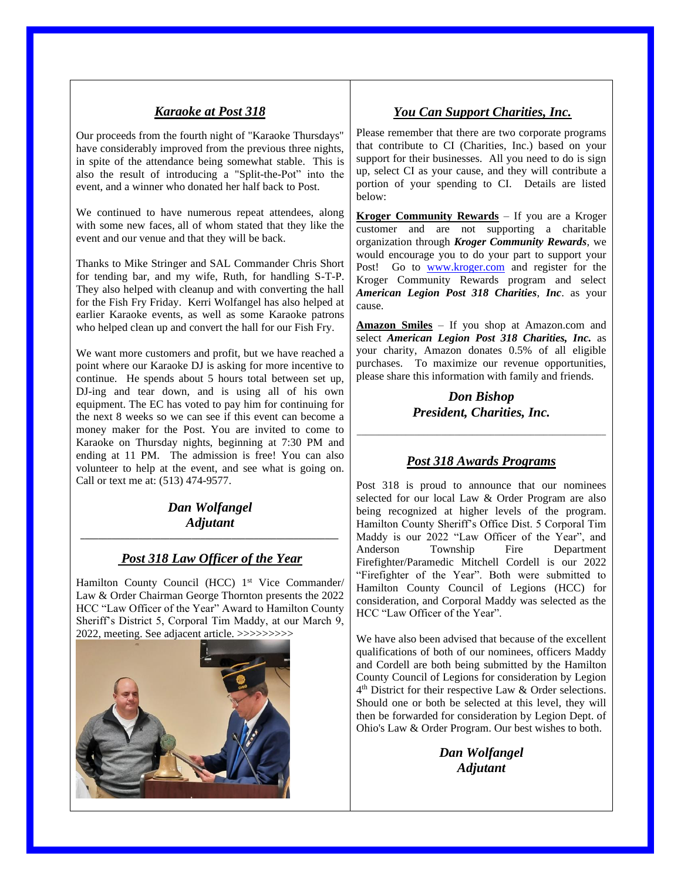### *Karaoke at Post 318*

Our proceeds from the fourth night of "Karaoke Thursdays" have considerably improved from the previous three nights, in spite of the attendance being somewhat stable. This is also the result of introducing a "Split-the-Pot" into the event, and a winner who donated her half back to Post.

We continued to have numerous repeat attendees, along with some new faces, all of whom stated that they like the event and our venue and that they will be back.

Thanks to Mike Stringer and SAL Commander Chris Short for tending bar, and my wife, Ruth, for handling S-T-P. They also helped with cleanup and with converting the hall for the Fish Fry Friday. Kerri Wolfangel has also helped at earlier Karaoke events, as well as some Karaoke patrons who helped clean up and convert the hall for our Fish Fry.

We want more customers and profit, but we have reached a point where our Karaoke DJ is asking for more incentive to continue. He spends about 5 hours total between set up, DJ-ing and tear down, and is using all of his own equipment. The EC has voted to pay him for continuing for the next 8 weeks so we can see if this event can become a money maker for the Post. You are invited to come to Karaoke on Thursday nights, beginning at 7:30 PM and ending at 11 PM. The admission is free! You can also volunteer to help at the event, and see what is going on. Call or text me at: (513) 474-9577.

#### *Dan Wolfangel Adjutant \_\_\_\_\_\_\_\_\_\_\_\_\_\_\_\_\_\_\_\_\_\_\_\_\_\_\_\_\_\_\_\_\_\_\_\_\_\_\_\_\_\_\_\_\_\_\_\_\_\_\_\_\_\_\_\_\_\_*

## *Post 318 Law Officer of the Year*

Hamilton County Council (HCC) 1<sup>st</sup> Vice Commander/ Law & Order Chairman George Thornton presents the 2022 HCC "Law Officer of the Year" Award to Hamilton County Sheriff's District 5, Corporal Tim Maddy, at our March 9, 2022, meeting. See adjacent article. >>>>>>>>>



## *You Can Support Charities, Inc.*

Please remember that there are two corporate programs that contribute to CI (Charities, Inc.) based on your support for their businesses. All you need to do is sign up, select CI as your cause, and they will contribute a portion of your spending to CI. Details are listed below:

**Kroger Community Rewards** – If you are a Kroger customer and are not supporting a charitable organization through *Kroger Community Rewards*, we would encourage you to do your part to support your Post! Go to [www.kroger.com](http://www.kroger.com/) and register for the Kroger Community Rewards program and select *American Legion Post 318 Charities*, *Inc*. as your cause.

**Amazon Smiles** – If you shop at Amazon.com and select *American Legion Post 318 Charities, Inc.* as your charity, Amazon donates 0.5% of all eligible purchases. To maximize our revenue opportunities, please share this information with family and friends.

### *Don Bishop President, Charities, Inc.*

## *Post 318 Awards Programs*

\_\_\_\_\_\_\_\_\_\_\_\_\_\_\_\_\_\_\_\_\_\_\_\_\_\_\_\_\_\_\_\_\_\_\_\_\_\_\_\_\_\_\_\_\_\_\_\_\_\_\_\_\_\_\_\_

Post 318 is proud to announce that our nominees selected for our local Law & Order Program are also being recognized at higher levels of the program. Hamilton County Sheriff's Office Dist. 5 Corporal Tim Maddy is our 2022 "Law Officer of the Year", and Anderson Township Fire Department Firefighter/Paramedic Mitchell Cordell is our 2022 "Firefighter of the Year". Both were submitted to Hamilton County Council of Legions (HCC) for consideration, and Corporal Maddy was selected as the HCC "Law Officer of the Year".

We have also been advised that because of the excellent qualifications of both of our nominees, officers Maddy and Cordell are both being submitted by the Hamilton County Council of Legions for consideration by Legion 4 th District for their respective Law & Order selections. Should one or both be selected at this level, they will then be forwarded for consideration by Legion Dept. of Ohio's Law & Order Program. Our best wishes to both.

> *Dan Wolfangel Adjutant*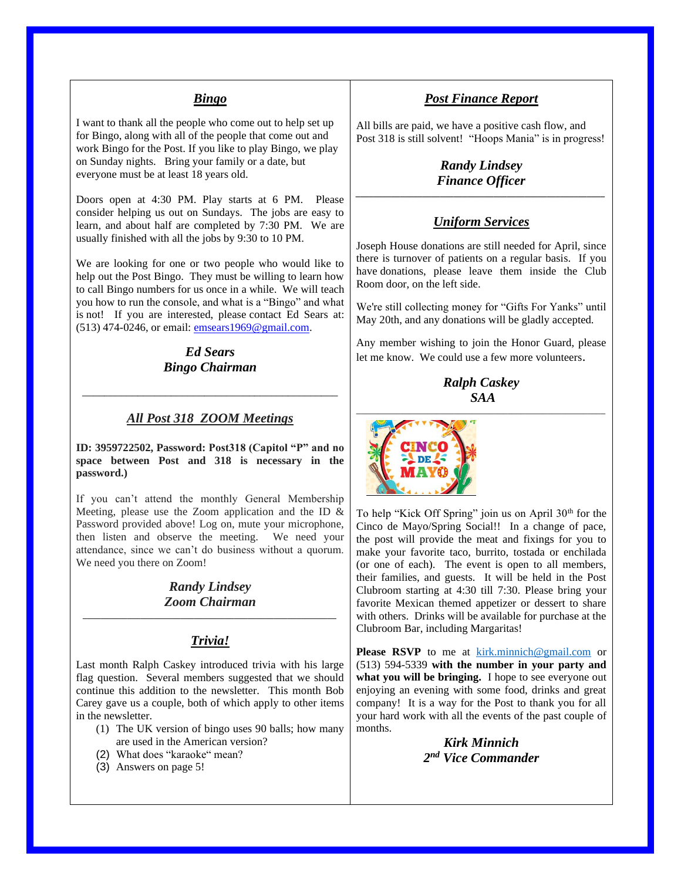#### *Bingo*

I want to thank all the people who come out to help set up for Bingo, along with all of the people that come out and work Bingo for the Post. If you like to play Bingo, we play on Sunday nights. Bring your family or a date, but everyone must be at least 18 years old.

Doors open at 4:30 PM. Play starts at 6 PM. Please consider helping us out on Sundays. The jobs are easy to learn, and about half are completed by 7:30 PM. We are usually finished with all the jobs by 9:30 to 10 PM.

We are looking for one or two people who would like to help out the Post Bingo. They must be willing to learn how to call Bingo numbers for us once in a while. We will teach you how to run the console, and what is a "Bingo" and what is not! If you are interested, please contact Ed Sears at: (513) 474-0246, or email: [emsears1969@gmail.com.](mailto:emsears1969@gmail.com)

### *Ed Sears Bingo Chairman*

#### *All Post 318 ZOOM Meetings*

\_\_\_\_\_\_\_\_\_\_\_\_\_\_\_\_\_\_\_\_\_\_\_\_\_\_\_\_\_\_\_\_\_\_\_\_\_\_\_\_\_\_\_\_\_\_

**ID: 3959722502, Password: Post318 (Capitol "P" and no space between Post and 318 is necessary in the password.)**

If you can't attend the monthly General Membership Meeting, please use the Zoom application and the ID & Password provided above! Log on, mute your microphone, then listen and observe the meeting. We need your attendance, since we can't do business without a quorum. We need you there on Zoom!

#### *Randy Lindsey Zoom Chairman \_\_\_\_\_\_\_\_\_\_\_\_\_\_\_\_\_\_\_\_\_\_\_\_\_\_\_\_\_\_\_\_\_\_\_\_\_\_\_\_\_\_\_\_\_\_\_\_\_\_\_\_\_\_\_\_\_*

### *Trivia!*

Last month Ralph Caskey introduced trivia with his large flag question. Several members suggested that we should continue this addition to the newsletter. This month Bob Carey gave us a couple, both of which apply to other items in the newsletter.

- (1) The UK version of bingo uses 90 balls; how many are used in the American version?
- (2) What does "karaoke" mean?
- (3) Answers on page 5!

#### *Post Finance Report*

All bills are paid, we have a positive cash flow, and Post 318 is still solvent! "Hoops Mania" is in progress!

*Randy Lindsey Finance Officer \_\_\_\_\_\_\_\_\_\_\_\_\_\_\_\_\_\_\_\_\_\_\_\_\_\_\_\_\_\_\_\_\_\_\_\_\_\_\_\_\_\_\_\_\_\_\_\_\_\_\_\_\_\_\_\_*

#### *Uniform Services*

Joseph House donations are still needed for April, since there is turnover of patients on a regular basis. If you have donations, please leave them inside the Club Room door, on the left side.

We're still collecting money for "Gifts For Yanks" until May 20th, and any donations will be gladly accepted.

Any member wishing to join the Honor Guard, please let me know. We could use a few more volunteers.

> *Ralph Caskey SAA*



To help "Kick Off Spring" join us on April 30<sup>th</sup> for the Cinco de Mayo/Spring Social!! In a change of pace, the post will provide the meat and fixings for you to make your favorite taco, burrito, tostada or enchilada (or one of each). The event is open to all members, their families, and guests. It will be held in the Post Clubroom starting at 4:30 till 7:30. Please bring your favorite Mexican themed appetizer or dessert to share with others. Drinks will be available for purchase at the Clubroom Bar, including Margaritas!

Please RSVP to me at [kirk.minnich@gmail.com](mailto:kirk.minnich@gmail.com) or (513) 594-5339 **with the number in your party and what you will be bringing.** I hope to see everyone out enjoying an evening with some food, drinks and great company! It is a way for the Post to thank you for all your hard work with all the events of the past couple of months.

> *Kirk Minnich 2 nd Vice Commander*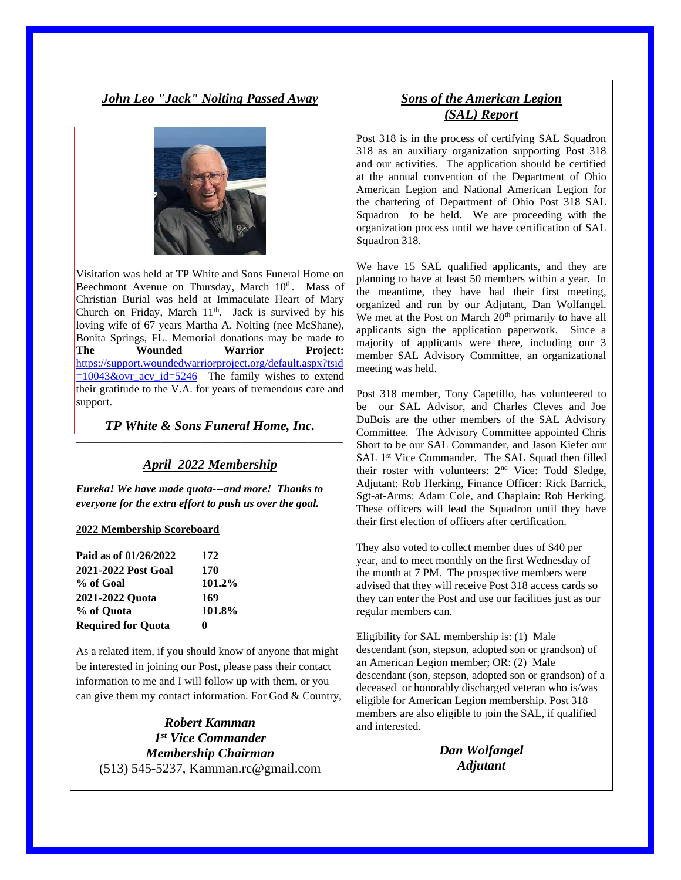### *John Leo "Jack" Nolting Passed Away*



Visitation was held at TP White and Sons Funeral Home on Beechmont Avenue on Thursday, March 10<sup>th</sup>. Mass of Christian Burial was held at Immaculate Heart of Mary Church on Friday, March  $11<sup>th</sup>$ . Jack is survived by his loving wife of 67 years Martha A. Nolting (nee McShane), Bonita Springs, FL. Memorial donations may be made to **The Wounded Warrior Project:** [https://support.woundedwarriorproject.org/default.aspx?tsid](https://support.woundedwarriorproject.org/default.aspx?tsid=10043&ovr_acv_id=5246)  $=10043\&$ ovr acv id=5246 The family wishes to extend their gratitude to the V.A. for years of tremendous care and support.

*TP White & Sons Funeral Home, Inc.*  $\_$  , and the set of the set of the set of the set of the set of the set of the set of the set of the set of the set of the set of the set of the set of the set of the set of the set of the set of the set of the set of th

#### *April 2022 Membership*

*Eureka! We have made quota---and more! Thanks to everyone for the extra effort to push us over the goal.*

#### **2022 Membership Scoreboard**

| Paid as of 01/26/2022     | 172    |
|---------------------------|--------|
| 2021-2022 Post Goal       | 170    |
| % of Goal                 | 101.2% |
| 2021-2022 Quota           | 169    |
| % of Ouota                | 101.8% |
| <b>Required for Quota</b> | o      |

As a related item, if you should know of anyone that might be interested in joining our Post, please pass their contact information to me and I will follow up with them, or you can give them my contact information. For God & Country,

*Robert Kamman 1 st Vice Commander Membership Chairman* (513) 545-5237, Kamman.rc@gmail.com

## *Sons of the American Legion (SAL) Report*

Post 318 is in the process of certifying SAL Squadron 318 as an auxiliary organization supporting Post 318 and our activities. The application should be certified at the annual convention of the Department of Ohio American Legion and National American Legion for the chartering of Department of Ohio Post 318 SAL Squadron to be held. We are proceeding with the organization process until we have certification of SAL Squadron 318.

We have 15 SAL qualified applicants, and they are planning to have at least 50 members within a year. In the meantime, they have had their first meeting, organized and run by our Adjutant, Dan Wolfangel. We met at the Post on March 20<sup>th</sup> primarily to have all applicants sign the application paperwork. Since a majority of applicants were there, including our 3 member SAL Advisory Committee, an organizational meeting was held.

Post 318 member, Tony Capetillo, has volunteered to be our SAL Advisor, and Charles Cleves and Joe DuBois are the other members of the SAL Advisory Committee. The Advisory Committee appointed Chris Short to be our SAL Commander, and Jason Kiefer our SAL 1<sup>st</sup> Vice Commander. The SAL Squad then filled their roster with volunteers: 2nd Vice: Todd Sledge, Adjutant: Rob Herking, Finance Officer: Rick Barrick, Sgt-at-Arms: Adam Cole, and Chaplain: Rob Herking. These officers will lead the Squadron until they have their first election of officers after certification.

They also voted to collect member dues of \$40 per year, and to meet monthly on the first Wednesday of the month at 7 PM. The prospective members were advised that they will receive Post 318 access cards so they can enter the Post and use our facilities just as our regular members can.

Eligibility for SAL membership is: (1) Male descendant (son, stepson, adopted son or grandson) of an American Legion member; OR: (2) Male descendant (son, stepson, adopted son or grandson) of a deceased or honorably discharged veteran who is/was eligible for American Legion membership. Post 318 members are also eligible to join the SAL, if qualified and interested.

> *Dan Wolfangel Adjutant*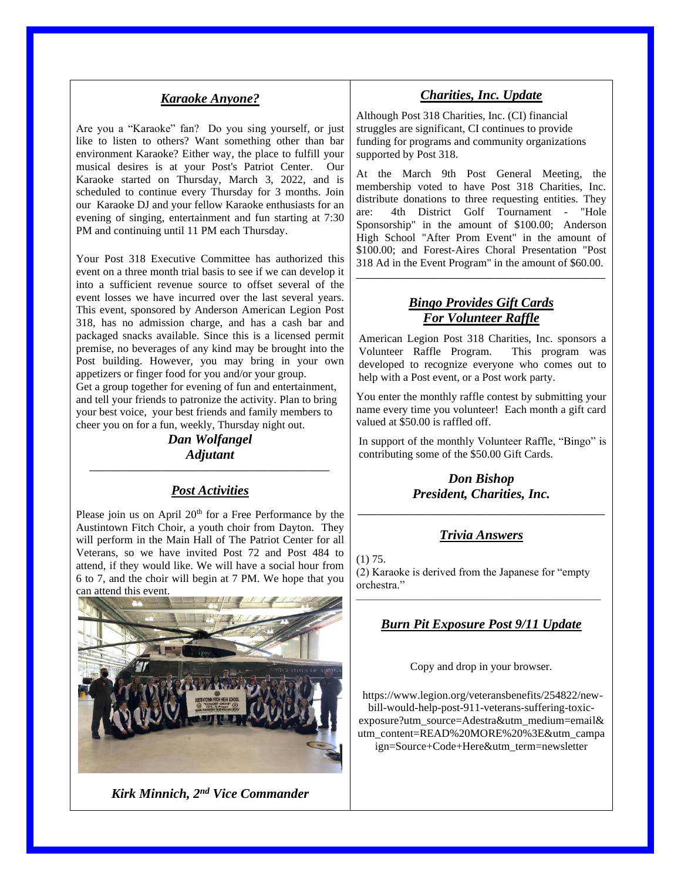#### *Karaoke Anyone?*

Are you a "Karaoke" fan? Do you sing yourself, or just like to listen to others? Want something other than bar environment Karaoke? Either way, the place to fulfill your musical desires is at your Post's Patriot Center. Our Karaoke started on Thursday, March 3, 2022, and is scheduled to continue every Thursday for 3 months. Join our Karaoke DJ and your fellow Karaoke enthusiasts for an evening of singing, entertainment and fun starting at 7:30 PM and continuing until 11 PM each Thursday.

Your Post 318 Executive Committee has authorized this event on a three month trial basis to see if we can develop it into a sufficient revenue source to offset several of the event losses we have incurred over the last several years. This event, sponsored by Anderson American Legion Post 318, has no admission charge, and has a cash bar and packaged snacks available. Since this is a licensed permit premise, no beverages of any kind may be brought into the Post building. However, you may bring in your own appetizers or finger food for you and/or your group. Get a group together for evening of fun and entertainment, and tell your friends to patronize the activity. Plan to bring your best voice, your best friends and family members to cheer you on for a fun, weekly, Thursday night out.

*Dan Wolfangel Adjutant \_\_\_\_\_\_\_\_\_\_\_\_\_\_\_\_\_\_\_\_\_\_\_\_\_\_\_\_\_\_\_\_\_\_\_\_\_\_\_\_\_\_\_\_\_\_\_\_\_\_\_\_\_\_*

#### *Post Activities*

Please join us on April  $20<sup>th</sup>$  for a Free Performance by the Austintown Fitch Choir, a youth choir from Dayton. They will perform in the Main Hall of The Patriot Center for all Veterans, so we have invited Post 72 and Post 484 to attend, if they would like. We will have a social hour from 6 to 7, and the choir will begin at 7 PM. We hope that you can attend this event.



*Kirk Minnich, 2nd Vice Commander*

#### *Charities, Inc. Update*

Although Post 318 Charities, Inc. (CI) financial struggles are significant, CI continues to provide funding for programs and community organizations supported by Post 318.

At the March 9th Post General Meeting, the membership voted to have Post 318 Charities, Inc. distribute donations to three requesting entities. They are: 4th District Golf Tournament - "Hole Sponsorship" in the amount of \$100.00; Anderson High School "After Prom Event" in the amount of \$100.00; and Forest-Aires Choral Presentation "Post 318 Ad in the Event Program" in the amount of \$60.00.

#### *Bingo Provides Gift Cards For Volunteer Raffle*

**\_\_\_\_\_\_\_\_\_\_\_\_\_\_\_\_\_\_\_\_\_\_\_\_\_\_\_\_\_\_\_\_\_\_\_\_\_\_\_\_\_\_\_\_\_\_\_\_\_\_\_\_\_\_\_\_**

American Legion Post 318 Charities, Inc. sponsors a Volunteer Raffle Program. This program was developed to recognize everyone who comes out to help with a Post event, or a Post work party.

You enter the monthly raffle contest by submitting your name every time you volunteer! Each month a gift card valued at \$50.00 is raffled off.

In support of the monthly Volunteer Raffle, "Bingo" is contributing some of the \$50.00 Gift Cards.

### *Don Bishop President, Charities, Inc.* \_\_\_\_\_\_\_\_\_\_\_\_\_\_\_\_\_\_\_\_\_\_\_\_\_\_\_\_\_\_\_\_\_\_\_\_\_

#### *Trivia Answers*

(1) 75. (2) Karaoke is derived from the Japanese for "empty orchestra."

### *Burn Pit Exposure Post 9/11 Update*

\_\_\_\_\_\_\_\_\_\_\_\_\_\_\_\_\_\_\_\_\_\_\_\_\_\_\_\_\_\_\_\_\_\_\_\_\_\_\_\_\_\_\_\_\_\_\_\_\_\_\_\_\_\_\_

Copy and drop in your browser.

https://www.legion.org/veteransbenefits/254822/newbill-would-help-post-911-veterans-suffering-toxicexposure?utm\_source=Adestra&utm\_medium=email& utm\_content=READ%20MORE%20%3E&utm\_campa ign=Source+Code+Here&utm\_term=newsletter